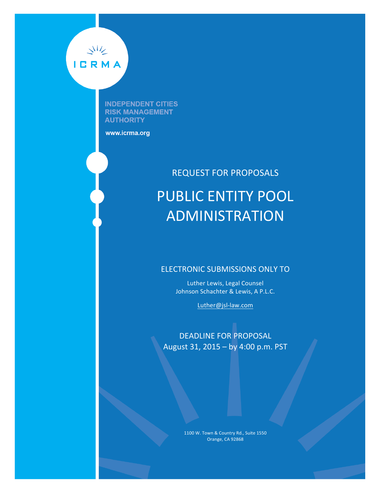

**INDEPENDENT CITIES RISK MANAGEMENT AUTHORITY** 

www.icrma.org

# **REQUEST FOR PROPOSALS** PUBLIC ENTITY POOL ADMINISTRATION

### ELECTRONIC SUBMISSIONS ONLY TO

Luther Lewis, Legal Counsel Johnson Schachter & Lewis, A P.L.C.

Luther@jsl-law.com

DEADLINE FOR PROPOSAL August 31, 2015 – by 4:00 p.m. PST

> 1100 W. Town & Country Rd., Suite 1550 Orange, CA 92868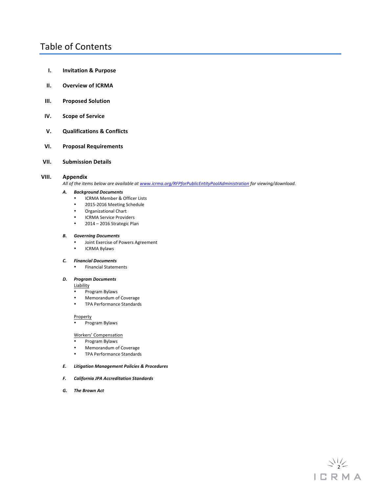### Table of Contents

- **I. Invitation & Purpose**
- **II.** Overview of ICRMA
- **III.** Proposed Solution
- **IV. Scope of Service**

### **V. Qualifications & Conflicts**

### **VI. Proposal Requirements**

**VII. Submission Details**

### **VIII. Appendix**

All of the items below are available at www.icrma.org/RFPforPublicEntityPoolAdministration for viewing/download.

### *A. Background Documents*

- ICRMA Member & Officer Lists<br>• 2015-2016 Meeting Schedule
- 2015-2016 Meeting Schedule
- Organizational Chart
- ICRMA Service Providers
- 2014 2016 Strategic Plan

#### *B. Governing Documents*

- Joint Exercise of Powers Agreement
- ICRMA Bylaws

#### *C. Financial Documents*

• Financial Statements 

### *D. Program Documents*

- **Liability**
- Program Bylaws
- Memorandum of Coverage
- TPA Performance Standards

#### **Property**

• Program Bylaws

#### Workers' Compensation

- Program Bylaws
- Memorandum of Coverage<br>• TPA Performance Standards
- TPA Performance Standards

### *E. Litigation Management Policies & Procedures*

- *F. California JPA Accreditation Standards*
- *G.* The Brown Act

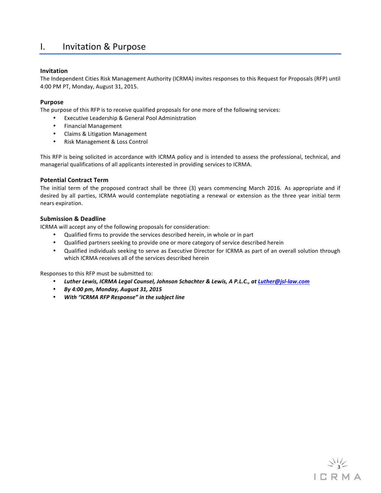### I. Invitation & Purpose

### **Invitation**

The Independent Cities Risk Management Authority (ICRMA) invites responses to this Request for Proposals (RFP) until 4:00 PM PT, Monday, August 31, 2015.

### **Purpose**

The purpose of this RFP is to receive qualified proposals for one more of the following services:

- Executive Leadership & General Pool Administration
- Financial Management
- Claims & Litigation Management
- Risk Management & Loss Control

This RFP is being solicited in accordance with ICRMA policy and is intended to assess the professional, technical, and managerial qualifications of all applicants interested in providing services to ICRMA.

### **Potential Contract Term**

The initial term of the proposed contract shall be three (3) years commencing March 2016. As appropriate and if desired by all parties, ICRMA would contemplate negotiating a renewal or extension as the three year initial term nears expiration.

### **Submission & Deadline**

ICRMA will accept any of the following proposals for consideration:

- Qualified firms to provide the services described herein, in whole or in part
- Qualified partners seeking to provide one or more category of service described herein
- Qualified individuals seeking to serve as Executive Director for ICRMA as part of an overall solution through which ICRMA receives all of the services described herein

Responses to this RFP must be submitted to:

- *Luther Lewis, ICRMA Legal Counsel, Johnson Schachter & Lewis, A P.L.C., at Luther@jsl-law.com*
- *By 4:00 pm, Monday, August 31, 2015*
- *With "ICRMA RFP Response" in the subject line*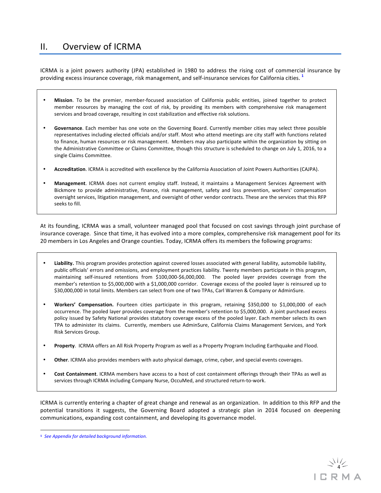### II. Overview of ICRMA

ICRMA is a joint powers authority (JPA) established in 1980 to address the rising cost of commercial insurance by providing excess insurance coverage, risk management, and self-insurance services for California cities.<sup>1</sup>

- Mission. To be the premier, member-focused association of California public entities, joined together to protect member resources by managing the cost of risk, by providing its members with comprehensive risk management services and broad coverage, resulting in cost stabilization and effective risk solutions.
- Governance. Each member has one vote on the Governing Board. Currently member cities may select three possible representatives including elected officials and/or staff. Most who attend meetings are city staff with functions related to finance, human resources or risk management. Members may also participate within the organization by sitting on the Administrative Committee or Claims Committee, though this structure is scheduled to change on July 1, 2016, to a single Claims Committee.
- Accreditation. ICRMA is accredited with excellence by the California Association of Joint Powers Authorities (CAJPA).
- Management. ICRMA does not current employ staff. Instead, it maintains a Management Services Agreement with Bickmore to provide administrative, finance, risk management, safety and loss prevention, workers' compensation oversight services, litigation management, and oversight of other vendor contracts. These are the services that this RFP seeks to fill.

At its founding, ICRMA was a small, volunteer managed pool that focused on cost savings through joint purchase of insurance coverage. Since that time, it has evolved into a more complex, comprehensive risk management pool for its 20 members in Los Angeles and Orange counties. Today, ICRMA offers its members the following programs:

- Liability. This program provides protection against covered losses associated with general liability, automobile liability, public officials' errors and omissions, and employment practices liability. Twenty members participate in this program, maintaining self-insured retentions from \$100,000-\$6,000,000. The pooled layer provides coverage from the member's retention to \$5,000,000 with a \$1,000,000 corridor. Coverage excess of the pooled layer is reinsured up to \$30,000,000 in total limits. Members can select from one of two TPAs, Carl Warren & Company or AdminSure.
- Workers' Compensation. Fourteen cities participate in this program, retaining \$350,000 to \$1,000,000 of each occurrence. The pooled layer provides coverage from the member's retention to \$5,000,000. A joint purchased excess policy issued by Safety National provides statutory coverage excess of the pooled layer. Each member selects its own TPA to administer its claims. Currently, members use AdminSure, California Claims Management Services, and York Risk Services Group.
- Property. ICRMA offers an All Risk Property Program as well as a Property Program Including Earthquake and Flood.
- Other. ICRMA also provides members with auto physical damage, crime, cyber, and special events coverages.
- **Cost Containment**. ICRMA members have access to a host of cost containment offerings through their TPAs as well as services through ICRMA including Company Nurse, OccuMed, and structured return-to-work.

ICRMA is currently entering a chapter of great change and renewal as an organization. In addition to this RFP and the potential transitions it suggests, the Governing Board adopted a strategic plan in 2014 focused on deepening communications, expanding cost containment, and developing its governance model.

 

**<sup>1</sup>** *See Appendix for detailed background information.*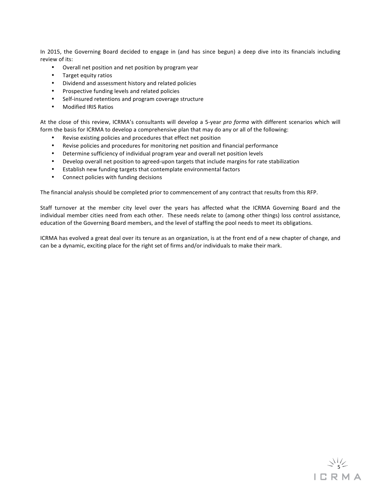In 2015, the Governing Board decided to engage in (and has since begun) a deep dive into its financials including review of its:

- Overall net position and net position by program year
- Target equity ratios
- Dividend and assessment history and related policies
- Prospective funding levels and related policies
- Self-insured retentions and program coverage structure
- Modified IRIS Ratios

At the close of this review, ICRMA's consultants will develop a 5-year *pro forma* with different scenarios which will form the basis for ICRMA to develop a comprehensive plan that may do any or all of the following:

- Revise existing policies and procedures that effect net position
- Revise policies and procedures for monitoring net position and financial performance
- Determine sufficiency of individual program year and overall net position levels
- Develop overall net position to agreed-upon targets that include margins for rate stabilization
- Establish new funding targets that contemplate environmental factors
- Connect policies with funding decisions

The financial analysis should be completed prior to commencement of any contract that results from this RFP.

Staff turnover at the member city level over the years has affected what the ICRMA Governing Board and the individual member cities need from each other. These needs relate to (among other things) loss control assistance, education of the Governing Board members, and the level of staffing the pool needs to meet its obligations.

ICRMA has evolved a great deal over its tenure as an organization, is at the front end of a new chapter of change, and can be a dynamic, exciting place for the right set of firms and/or individuals to make their mark.

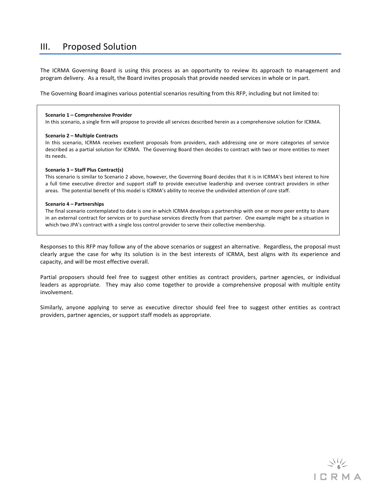### III. Proposed Solution

The ICRMA Governing Board is using this process as an opportunity to review its approach to management and program delivery. As a result, the Board invites proposals that provide needed services in whole or in part.

The Governing Board imagines various potential scenarios resulting from this RFP, including but not limited to:

#### **Scenario 1 – Comprehensive Provider**

In this scenario, a single firm will propose to provide all services described herein as a comprehensive solution for ICRMA.

#### **Scenario 2 – Multiple Contracts**

In this scenario, ICRMA receives excellent proposals from providers, each addressing one or more categories of service described as a partial solution for ICRMA. The Governing Board then decides to contract with two or more entities to meet its needs.

#### **Scenario 3 – Staff Plus Contract(s)**

This scenario is similar to Scenario 2 above, however, the Governing Board decides that it is in ICRMA's best interest to hire a full time executive director and support staff to provide executive leadership and oversee contract providers in other areas. The potential benefit of this model is ICRMA's ability to receive the undivided attention of core staff.

#### **Scenario 4 – Partnerships**

The final scenario contemplated to date is one in which ICRMA develops a partnership with one or more peer entity to share in an external contract for services or to purchase services directly from that partner. One example might be a situation in which two JPA's contract with a single loss control provider to serve their collective membership.

Responses to this RFP may follow any of the above scenarios or suggest an alternative. Regardless, the proposal must clearly argue the case for why its solution is in the best interests of ICRMA, best aligns with its experience and capacity, and will be most effective overall.

Partial proposers should feel free to suggest other entities as contract providers, partner agencies, or individual leaders as appropriate. They may also come together to provide a comprehensive proposal with multiple entity involvement.

Similarly, anyone applying to serve as executive director should feel free to suggest other entities as contract providers, partner agencies, or support staff models as appropriate.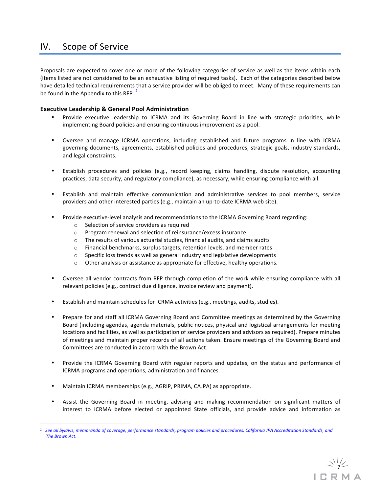### IV. Scope of Service

Proposals are expected to cover one or more of the following categories of service as well as the items within each (items listed are not considered to be an exhaustive listing of required tasks). Each of the categories described below have detailed technical requirements that a service provider will be obliged to meet. Many of these requirements can be found in the Appendix to this RFP.<sup>2</sup>

### **Executive Leadership & General Pool Administration**

- Provide executive leadership to ICRMA and its Governing Board in line with strategic priorities, while implementing Board policies and ensuring continuous improvement as a pool.
- Oversee and manage ICRMA operations, including established and future programs in line with ICRMA governing documents, agreements, established policies and procedures, strategic goals, industry standards, and legal constraints.
- Establish procedures and policies (e.g., record keeping, claims handling, dispute resolution, accounting practices, data security, and regulatory compliance), as necessary, while ensuring compliance with all.
- Establish and maintain effective communication and administrative services to pool members, service providers and other interested parties (e.g., maintain an up-to-date ICRMA web site).
- Provide executive-level analysis and recommendations to the ICRMA Governing Board regarding:
	- $\circ$  Selection of service providers as required
	- o Program renewal and selection of reinsurance/excess insurance
	- $\circ$  The results of various actuarial studies, financial audits, and claims audits
	- $\circ$  Financial benchmarks, surplus targets, retention levels, and member rates
	- $\circ$  Specific loss trends as well as general industry and legislative developments
	- $\circ$  Other analysis or assistance as appropriate for effective, healthy operations.
- Oversee all vendor contracts from RFP through completion of the work while ensuring compliance with all relevant policies (e.g., contract due diligence, invoice review and payment).
- Establish and maintain schedules for ICRMA activities (e.g., meetings, audits, studies).
- Prepare for and staff all ICRMA Governing Board and Committee meetings as determined by the Governing Board (including agendas, agenda materials, public notices, physical and logistical arrangements for meeting locations and facilities, as well as participation of service providers and advisors as required). Prepare minutes of meetings and maintain proper records of all actions taken. Ensure meetings of the Governing Board and Committees are conducted in accord with the Brown Act.
- Provide the ICRMA Governing Board with regular reports and updates, on the status and performance of ICRMA programs and operations, administration and finances.
- Maintain ICRMA memberships (e.g., AGRIP, PRIMA, CAJPA) as appropriate.

 

• Assist the Governing Board in meeting, advising and making recommendation on significant matters of interest to ICRMA before elected or appointed State officials, and provide advice and information as

<sup>&</sup>lt;sup>2</sup> See all bylaws, memoranda of coverage, performance standards, program policies and procedures, California JPA Accreditation Standards, and *The Brown Act.*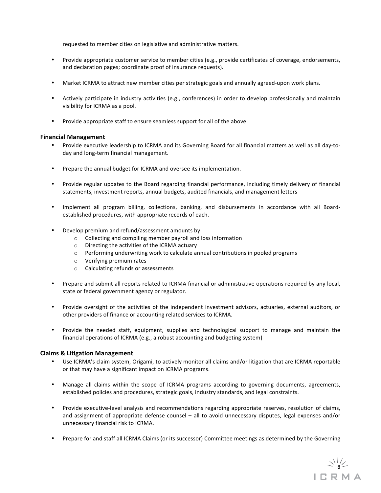requested to member cities on legislative and administrative matters.

- Provide appropriate customer service to member cities (e.g., provide certificates of coverage, endorsements, and declaration pages; coordinate proof of insurance requests).
- Market ICRMA to attract new member cities per strategic goals and annually agreed-upon work plans.
- Actively participate in industry activities (e.g., conferences) in order to develop professionally and maintain visibility for ICRMA as a pool.
- Provide appropriate staff to ensure seamless support for all of the above.

### **Financial Management**

- Provide executive leadership to ICRMA and its Governing Board for all financial matters as well as all day-today and long-term financial management.
- Prepare the annual budget for ICRMA and oversee its implementation.
- Provide regular updates to the Board regarding financial performance, including timely delivery of financial statements, investment reports, annual budgets, audited financials, and management letters
- Implement all program billing, collections, banking, and disbursements in accordance with all Boardestablished procedures, with appropriate records of each.
- Develop premium and refund/assessment amounts by:
	- $\circ$  Collecting and compiling member payroll and loss information
	- $\circ$  Directing the activities of the ICRMA actuary
	- $\circ$  Performing underwriting work to calculate annual contributions in pooled programs
	- $\circ$  Verifying premium rates
	- $\circ$  Calculating refunds or assessments
- Prepare and submit all reports related to ICRMA financial or administrative operations required by any local, state or federal government agency or regulator.
- Provide oversight of the activities of the independent investment advisors, actuaries, external auditors, or other providers of finance or accounting related services to ICRMA.
- Provide the needed staff, equipment, supplies and technological support to manage and maintain the financial operations of ICRMA (e.g., a robust accounting and budgeting system)

### **Claims & Litigation Management**

- Use ICRMA's claim system, Origami, to actively monitor all claims and/or litigation that are ICRMA reportable or that may have a significant impact on ICRMA programs.
- Manage all claims within the scope of ICRMA programs according to governing documents, agreements, established policies and procedures, strategic goals, industry standards, and legal constraints.
- Provide executive-level analysis and recommendations regarding appropriate reserves, resolution of claims, and assignment of appropriate defense counsel – all to avoid unnecessary disputes, legal expenses and/or unnecessary financial risk to ICRMA.
- Prepare for and staff all ICRMA Claims (or its successor) Committee meetings as determined by the Governing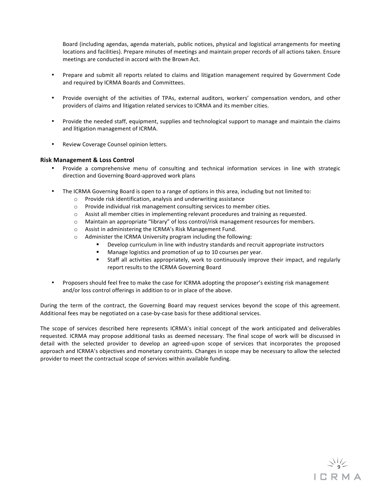Board (including agendas, agenda materials, public notices, physical and logistical arrangements for meeting locations and facilities). Prepare minutes of meetings and maintain proper records of all actions taken. Ensure meetings are conducted in accord with the Brown Act.

- Prepare and submit all reports related to claims and litigation management required by Government Code and required by ICRMA Boards and Committees.
- Provide oversight of the activities of TPAs, external auditors, workers' compensation vendors, and other providers of claims and litigation related services to ICRMA and its member cities.
- Provide the needed staff, equipment, supplies and technological support to manage and maintain the claims and litigation management of ICRMA.
- Review Coverage Counsel opinion letters.

### **Risk Management & Loss Control**

- Provide a comprehensive menu of consulting and technical information services in line with strategic direction and Governing Board-approved work plans
- The ICRMA Governing Board is open to a range of options in this area, including but not limited to:
	- $\circ$  Provide risk identification, analysis and underwriting assistance
	- $\circ$  Provide individual risk management consulting services to member cities.
	- $\circ$  Assist all member cities in implementing relevant procedures and training as requested.
	- $\circ$  Maintain an appropriate "library" of loss control/risk management resources for members.
	- o Assist in administering the ICRMA's Risk Management Fund.
	- $\circ$  Administer the ICRMA University program including the following:
		- Develop curriculum in line with industry standards and recruit appropriate instructors
		- Manage logistics and promotion of up to 10 courses per year.
		- **Staff all activities appropriately, work to continuously improve their impact, and regularly** report results to the ICRMA Governing Board
- Proposers should feel free to make the case for ICRMA adopting the proposer's existing risk management and/or loss control offerings in addition to or in place of the above.

During the term of the contract, the Governing Board may request services beyond the scope of this agreement. Additional fees may be negotiated on a case-by-case basis for these additional services.

The scope of services described here represents ICRMA's initial concept of the work anticipated and deliverables requested. ICRMA may propose additional tasks as deemed necessary. The final scope of work will be discussed in detail with the selected provider to develop an agreed-upon scope of services that incorporates the proposed approach and ICRMA's objectives and monetary constraints. Changes in scope may be necessary to allow the selected provider to meet the contractual scope of services within available funding.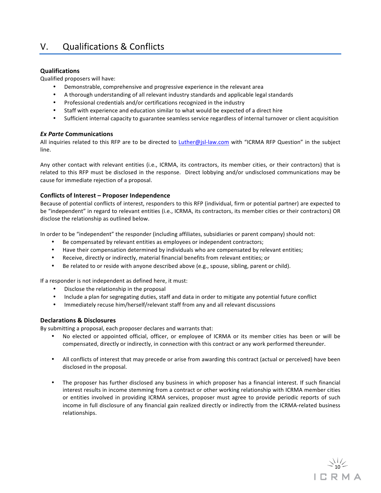### V. Qualifications & Conflicts

### **Qualifications**

Qualified proposers will have:

- Demonstrable, comprehensive and progressive experience in the relevant area
- A thorough understanding of all relevant industry standards and applicable legal standards
- Professional credentials and/or certifications recognized in the industry
- Staff with experience and education similar to what would be expected of a direct hire
- Sufficient internal capacity to guarantee seamless service regardless of internal turnover or client acquisition

### *Ex Parte* **Communications**

All inquiries related to this RFP are to be directed to Luther@jsl-law.com with "ICRMA RFP Question" in the subject line. 

Any other contact with relevant entities (i.e., ICRMA, its contractors, its member cities, or their contractors) that is related to this RFP must be disclosed in the response. Direct lobbying and/or undisclosed communications may be cause for immediate rejection of a proposal.

### **Conflicts of Interest – Proposer Independence**

Because of potential conflicts of interest, responders to this RFP (individual, firm or potential partner) are expected to be "independent" in regard to relevant entities (i.e., ICRMA, its contractors, its member cities or their contractors) OR disclose the relationship as outlined below.

In order to be "independent" the responder (including affiliates, subsidiaries or parent company) should not:

- Be compensated by relevant entities as employees or independent contractors;
- Have their compensation determined by individuals who are compensated by relevant entities;
- Receive, directly or indirectly, material financial benefits from relevant entities; or
- Be related to or reside with anyone described above (e.g., spouse, sibling, parent or child).

If a responder is not independent as defined here, it must:

- Disclose the relationship in the proposal
- Include a plan for segregating duties, staff and data in order to mitigate any potential future conflict
- Immediately recuse him/herself/relevant staff from any and all relevant discussions

### **Declarations & Disclosures**

By submitting a proposal, each proposer declares and warrants that:

- No elected or appointed official, officer, or employee of ICRMA or its member cities has been or will be compensated, directly or indirectly, in connection with this contract or any work performed thereunder.
- All conflicts of interest that may precede or arise from awarding this contract (actual or perceived) have been disclosed in the proposal.
- The proposer has further disclosed any business in which proposer has a financial interest. If such financial interest results in income stemming from a contract or other working relationship with ICRMA member cities or entities involved in providing ICRMA services, proposer must agree to provide periodic reports of such income in full disclosure of any financial gain realized directly or indirectly from the ICRMA-related business relationships.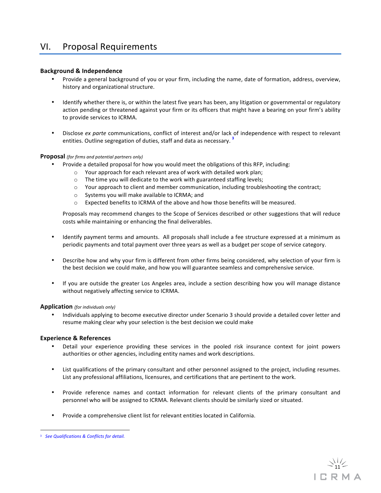### VI. Proposal Requirements

### **Background & Independence**

- Provide a general background of you or your firm, including the name, date of formation, address, overview, history and organizational structure.
- Identify whether there is, or within the latest five years has been, any litigation or governmental or regulatory action pending or threatened against your firm or its officers that might have a bearing on your firm's ability to provide services to ICRMA.
- Disclose ex parte communications, conflict of interest and/or lack of independence with respect to relevant entities. Outline segregation of duties, staff and data as necessary.<sup>3</sup>

### **Proposal** *(for firms and potential partners only)*

- Provide a detailed proposal for how you would meet the obligations of this RFP, including:
	- $\circ$  Your approach for each relevant area of work with detailed work plan;
	- $\circ$  The time you will dedicate to the work with guaranteed staffing levels;
	- $\circ$  Your approach to client and member communication, including troubleshooting the contract;
	- $\circ$  Systems you will make available to ICRMA; and
	- $\circ$  Expected benefits to ICRMA of the above and how those benefits will be measured.

Proposals may recommend changes to the Scope of Services described or other suggestions that will reduce costs while maintaining or enhancing the final deliverables.

- Identify payment terms and amounts. All proposals shall include a fee structure expressed at a minimum as periodic payments and total payment over three years as well as a budget per scope of service category.
- Describe how and why your firm is different from other firms being considered, why selection of your firm is the best decision we could make, and how you will guarantee seamless and comprehensive service.
- If you are outside the greater Los Angeles area, include a section describing how you will manage distance without negatively affecting service to ICRMA.

### **Application** *(for individuals only)*

Individuals applying to become executive director under Scenario 3 should provide a detailed cover letter and resume making clear why your selection is the best decision we could make

### **Experience & References**

- Detail your experience providing these services in the pooled risk insurance context for joint powers authorities or other agencies, including entity names and work descriptions.
- List qualifications of the primary consultant and other personnel assigned to the project, including resumes. List any professional affiliations, licensures, and certifications that are pertinent to the work.
- Provide reference names and contact information for relevant clients of the primary consultant and personnel who will be assigned to ICRMA. Relevant clients should be similarly sized or situated.
- Provide a comprehensive client list for relevant entities located in California.

 <sup>3</sup> See Qualifications & Conflicts for detail.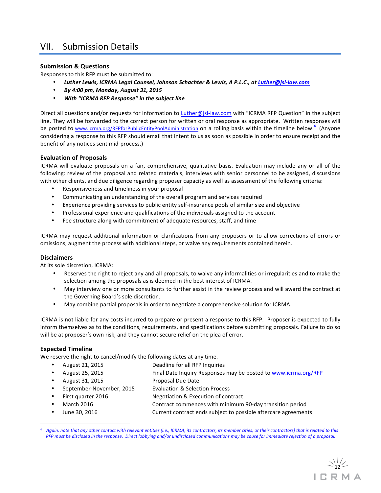### VII. Submission Details

### **Submission & Questions**

Responses to this RFP must be submitted to:

- Luther Lewis, ICRMA Legal Counsel, Johnson Schachter & Lewis, A P.L.C., at Luther@jsl-law.com
- *By 4:00 pm, Monday, August 31, 2015*
- *With "ICRMA RFP Response" in the subject line*

Direct all questions and/or requests for information to Luther@jsl-law.com with "ICRMA RFP Question" in the subject line. They will be forwarded to the correct person for written or oral response as appropriate. Written responses will be posted to www.icrma.org/RFPforPublicEntityPoolAdministration</u> on a rolling basis within the timeline below.<sup>4</sup> (Anyone considering a response to this RFP should email that intent to us as soon as possible in order to ensure receipt and the benefit of any notices sent mid-process.)

### **Evaluation of Proposals**

ICRMA will evaluate proposals on a fair, comprehensive, qualitative basis. Evaluation may include any or all of the following: review of the proposal and related materials, interviews with senior personnel to be assigned, discussions with other clients, and due diligence regarding proposer capacity as well as assessment of the following criteria:

- Responsiveness and timeliness in your proposal
- Communicating an understanding of the overall program and services required
- Experience providing services to public entity self-insurance pools of similar size and objective
- Professional experience and qualifications of the individuals assigned to the account
- Fee structure along with commitment of adequate resources, staff, and time

ICRMA may request additional information or clarifications from any proposers or to allow corrections of errors or omissions, augment the process with additional steps, or waive any requirements contained herein.

### **Disclaimers**

At its sole discretion, ICRMA:

- Reserves the right to reject any and all proposals, to waive any informalities or irregularities and to make the selection among the proposals as is deemed in the best interest of ICRMA.
- May interview one or more consultants to further assist in the review process and will award the contract at the Governing Board's sole discretion.
- May combine partial proposals in order to negotiate a comprehensive solution for ICRMA.

ICRMA is not liable for any costs incurred to prepare or present a response to this RFP. Proposer is expected to fully inform themselves as to the conditions, requirements, and specifications before submitting proposals. Failure to do so will be at proposer's own risk, and they cannot secure relief on the plea of error.

### **Expected Timeline**

 

We reserve the right to cancel/modify the following dates at any time.

- August 21, 2015 Deadline for all RFP Inquiries • August 25, 2015 **Final Date Inquiry Responses may be posted to www.icrma.org/RFP** August 31, 2015 Proposal Due Date September-November, 2015 Evaluation & Selection Process
- 
- First quarter 2016 **Negotiation & Execution of contract** 
	- March 2016 **Contract commences** with minimum 90-day transition period
- June 30, 2016 **Current contract ends subject to possible aftercare agreements**

Again, note that any other contact with relevant entities (i.e., ICRMA, its contractors, its member cities, or their contractors) that is related to this *RFP* must be disclosed in the response. Direct lobbying and/or undisclosed communications may be cause for immediate rejection of a proposal.